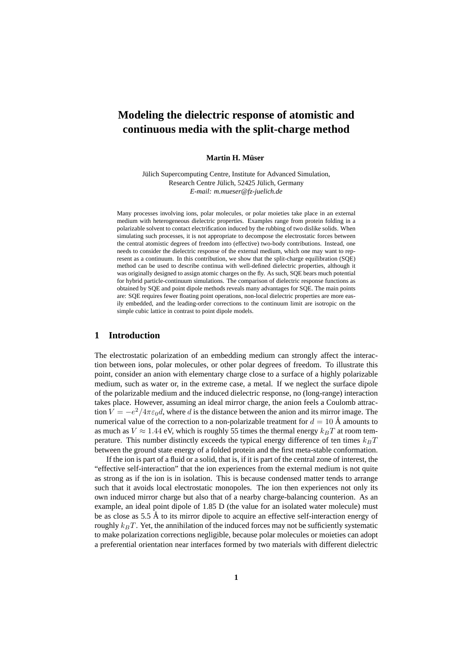# **Modeling the dielectric response of atomistic and continuous media with the split-charge method**

#### $M$  **Martin H. Müser**

Jülich Supercomputing Centre, Institute for Advanced Simulation, Research Centre Jülich, 52425 Jülich, Germany *E-mail: m.mueser@fz-juelich.de*

Many processes involving ions, polar molecules, or polar moieties take place in an external medium with heterogeneous dielectric properties. Examples range from protein folding in a polarizable solvent to contact electrification induced by the rubbing of two dislike solids. When simulating such processes, it is not appropriate to decompose the electrostatic forces between the central atomistic degrees of freedom into (effective) two-body contributions. Instead, one needs to consider the dielectric response of the external medium, which one may want to represent as a continuum. In this contribution, we show that the split-charge equilibration (SQE) method can be used to describe continua with well-defined dielectric properties, although it was originally designed to assign atomic charges on the fly. As such, SQE bears much potential for hybrid particle-continuum simulations. The comparison of dielectric response functions as obtained by SQE and point dipole methods reveals many advantages for SQE. The main points are: SQE requires fewer floating point operations, non-local dielectric properties are more easily embedded, and the leading-order corrections to the continuum limit are isotropic on the simple cubic lattice in contrast to point dipole models.

# **1 Introduction**

The electrostatic polarization of an embedding medium can strongly affect the interaction between ions, polar molecules, or other polar degrees of freedom. To illustrate this point, consider an anion with elementary charge close to a surface of a highly polarizable medium, such as water or, in the extreme case, a metal. If we neglect the surface dipole of the polarizable medium and the induced dielectric response, no (long-range) interaction takes place. However, assuming an ideal mirror charge, the anion feels a Coulomb attraction  $V = -e^2/4\pi\varepsilon_0 d$ , where d is the distance between the anion and its mirror image. The numerical value of the correction to a non-polarizable treatment for  $d = 10 \text{ Å}$  amounts to as much as  $V \approx 1.44$  eV, which is roughly 55 times the thermal energy  $k_B T$  at room temperature. This number distinctly exceeds the typical energy difference of ten times  $k_BT$ between the ground state energy of a folded protein and the first meta-stable conformation.

If the ion is part of a fluid or a solid, that is, if it is part of the central zone of interest, the "effective self-interaction" that the ion experiences from the external medium is not quite as strong as if the ion is in isolation. This is because condensed matter tends to arrange such that it avoids local electrostatic monopoles. The ion then experiences not only its own induced mirror charge but also that of a nearby charge-balancing counterion. As an example, an ideal point dipole of 1.85 D (the value for an isolated water molecule) must be as close as  $5.5 \text{ Å}$  to its mirror dipole to acquire an effective self-interaction energy of roughly  $k_BT$ . Yet, the annihilation of the induced forces may not be sufficiently systematic to make polarization corrections negligible, because polar molecules or moieties can adopt a preferential orientation near interfaces formed by two materials with different dielectric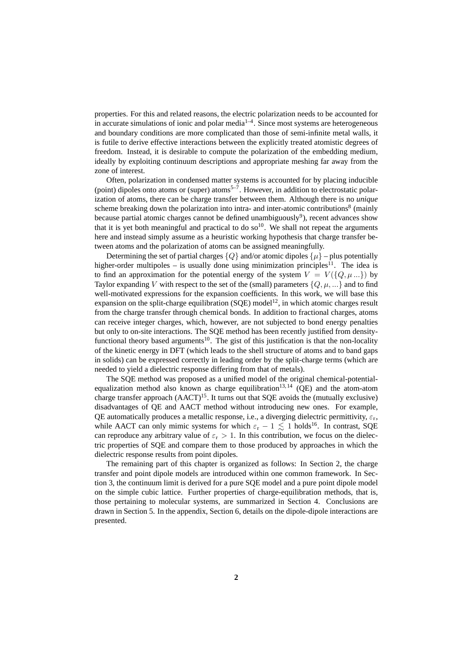properties. For this and related reasons, the electric polarization needs to be accounted for in accurate simulations of ionic and polar media $1-4$ . Since most systems are heterogeneous and boundary conditions are more complicated than those of semi-infinite metal walls, it is futile to derive effective interactions between the explicitly treated atomistic degrees of freedom. Instead, it is desirable to compute the polarization of the embedding medium, ideally by exploiting continuum descriptions and appropriate meshing far away from the zone of interest.

Often, polarization in condensed matter systems is accounted for by placing inducible (point) dipoles onto atoms or (super) atoms<sup>5–7</sup>. However, in addition to electrostatic polarization of atoms, there can be charge transfer between them. Although there is no *unique* scheme breaking down the polarization into intra- and inter-atomic contributions<sup>8</sup> (mainly because partial atomic charges cannot be defined unambiguously<sup>9</sup>), recent advances show that it is yet both meaningful and practical to do so<sup>10</sup>. We shall not repeat the arguments here and instead simply assume as a heuristic working hypothesis that charge transfer between atoms and the polarization of atoms can be assigned meaningfully.

Determining the set of partial charges  ${Q}$  and/or atomic dipoles  ${µ}$  – plus potentially higher-order multipoles – is usually done using minimization principles<sup>11</sup>. The idea is to find an approximation for the potential energy of the system  $V = V({Q, \mu ...})$  by Taylor expanding V with respect to the set of the (small) parameters  $\{Q, \mu, ...\}$  and to find well-motivated expressions for the expansion coefficients. In this work, we will base this expansion on the split-charge equilibration (SQE) model<sup>12</sup>, in which atomic charges result from the charge transfer through chemical bonds. In addition to fractional charges, atoms can receive integer charges, which, however, are not subjected to bond energy penalties but only to on-site interactions. The SQE method has been recently justified from densityfunctional theory based arguments<sup>10</sup>. The gist of this justification is that the non-locality of the kinetic energy in DFT (which leads to the shell structure of atoms and to band gaps in solids) can be expressed correctly in leading order by the split-charge terms (which are needed to yield a dielectric response differing from that of metals).

The SQE method was proposed as a unified model of the original chemical-potentialequalization method also known as charge equilibration<sup>13,14</sup> (OE) and the atom-atom charge transfer approach  $(AACT)^{15}$ . It turns out that SQE avoids the (mutually exclusive) disadvantages of QE and AACT method without introducing new ones. For example, QE automatically produces a metallic response, i.e., a diverging dielectric permittivity,  $\varepsilon_r$ , while AACT can only mimic systems for which  $\varepsilon_r - 1 \lesssim 1$  holds<sup>16</sup>. In contrast, SQE can reproduce any arbitrary value of  $\varepsilon_r > 1$ . In this contribution, we focus on the dielectric properties of SQE and compare them to those produced by approaches in which the dielectric response results from point dipoles.

The remaining part of this chapter is organized as follows: In Section 2, the charge transfer and point dipole models are introduced within one common framework. In Section 3, the continuum limit is derived for a pure SQE model and a pure point dipole model on the simple cubic lattice. Further properties of charge-equilibration methods, that is, those pertaining to molecular systems, are summarized in Section 4. Conclusions are drawn in Section 5. In the appendix, Section 6, details on the dipole-dipole interactions are presented.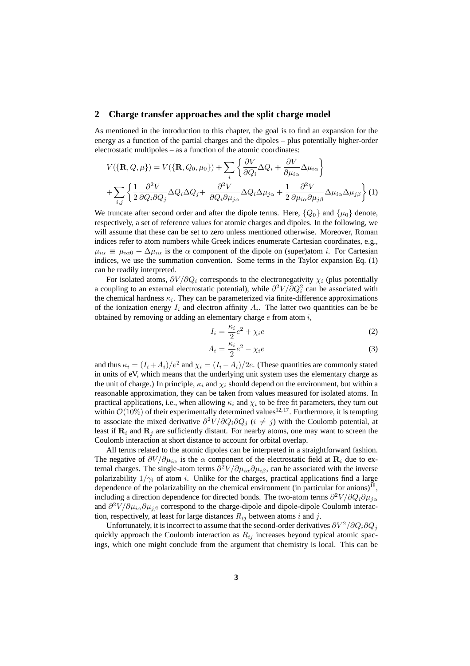### **2 Charge transfer approaches and the split charge model**

As mentioned in the introduction to this chapter, the goal is to find an expansion for the energy as a function of the partial charges and the dipoles – plus potentially higher-order electrostatic multipoles – as a function of the atomic coordinates:

$$
V(\{\mathbf{R}, Q, \mu\}) = V(\{\mathbf{R}, Q_0, \mu_0\}) + \sum_i \left\{ \frac{\partial V}{\partial Q_i} \Delta Q_i + \frac{\partial V}{\partial \mu_{i\alpha}} \Delta \mu_{i\alpha} \right\}
$$

$$
+ \sum_{i,j} \left\{ \frac{1}{2} \frac{\partial^2 V}{\partial Q_i \partial Q_j} \Delta Q_i \Delta Q_j + \frac{\partial^2 V}{\partial Q_i \partial \mu_{j\alpha}} \Delta Q_i \Delta \mu_{j\alpha} + \frac{1}{2} \frac{\partial^2 V}{\partial \mu_{i\alpha} \partial \mu_{j\beta}} \Delta \mu_{i\alpha} \Delta \mu_{j\beta} \right\} (1)
$$

We truncate after second order and after the dipole terms. Here,  ${Q_0}$  and  ${\mu_0}$  denote, respectively, a set of reference values for atomic charges and dipoles. In the following, we will assume that these can be set to zero unless mentioned otherwise. Moreover, Roman indices refer to atom numbers while Greek indices enumerate Cartesian coordinates, e.g.,  $\mu_{i\alpha} \equiv \mu_{i\alpha 0} + \Delta \mu_{i\alpha}$  is the  $\alpha$  component of the dipole on (super)atom *i*. For Cartesian indices, we use the summation convention. Some terms in the Taylor expansion Eq. (1) can be readily interpreted.

For isolated atoms,  $\partial V/\partial Q_i$  corresponds to the electronegativity  $\chi_i$  (plus potentially a coupling to an external electrostatic potential), while  $\partial^2 V / \partial Q_i^2$  can be associated with the chemical hardness  $\kappa_i$ . They can be parameterized via finite-difference approximations of the ionization energy  $I_i$  and electron affinity  $A_i$ . The latter two quantities can be be obtained by removing or adding an elementary charge  $e$  from atom  $i$ ,

$$
I_i = \frac{\kappa_i}{2}e^2 + \chi_i e \tag{2}
$$

$$
A_i = \frac{\kappa_i}{2} e^2 - \chi_i e \tag{3}
$$

and thus  $\kappa_i = (I_i + A_i)/e^2$  and  $\chi_i = (I_i - A_i)/2e$ . (These quantities are commonly stated in units of eV, which means that the underlying unit system uses the elementary charge as the unit of charge.) In principle,  $\kappa_i$  and  $\chi_i$  should depend on the environment, but within a reasonable approximation, they can be taken from values measured for isolated atoms. In practical applications, i.e., when allowing  $\kappa_i$  and  $\chi_i$  to be free fit parameters, they turn out within  $\mathcal{O}(10\%)$  of their experimentally determined values<sup>12, 17</sup>. Furthermore, it is tempting to associate the mixed derivative  $\partial^2 V / \partial Q_i \partial Q_j$  ( $i \neq j$ ) with the Coulomb potential, at least if  $\mathbf{R}_i$  and  $\mathbf{R}_j$  are sufficiently distant. For nearby atoms, one may want to screen the Coulomb interaction at short distance to account for orbital overlap.

All terms related to the atomic dipoles can be interpreted in a straightforward fashion. The negative of  $\partial V/\partial \mu_{i\alpha}$  is the  $\alpha$  component of the electrostatic field at  $\mathbf{R}_i$  due to external charges. The single-atom terms  $\partial^2 V/\partial \mu_{i\alpha} \partial \mu_{i\beta}$ , can be associated with the inverse polarizability  $1/\gamma_i$  of atom i. Unlike for the charges, practical applications find a large dependence of the polarizability on the chemical environment (in particular for anions)<sup>18</sup>, including a direction dependence for directed bonds. The two-atom terms  $\partial^2 V/\partial Q_i \partial \mu_{j\alpha}$ and  $\partial^2 V/\partial \mu_{i\alpha} \partial \mu_{j\beta}$  correspond to the charge-dipole and dipole-dipole Coulomb interaction, respectively, at least for large distances  $R_{ij}$  between atoms i and j.

Unfortunately, it is incorrect to assume that the second-order derivatives  $\partial V^2/\partial Q_i\partial Q_j$ quickly approach the Coulomb interaction as  $R_{ij}$  increases beyond typical atomic spacings, which one might conclude from the argument that chemistry is local. This can be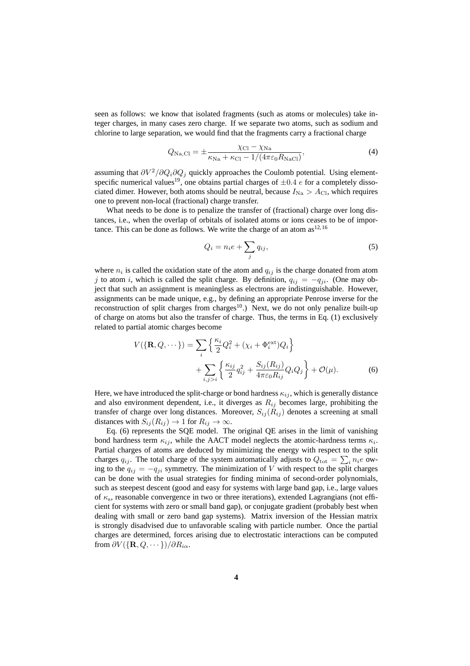seen as follows: we know that isolated fragments (such as atoms or molecules) take integer charges, in many cases zero charge. If we separate two atoms, such as sodium and chlorine to large separation, we would find that the fragments carry a fractional charge

$$
Q_{\text{Na,Cl}} = \pm \frac{\chi_{\text{Cl}} - \chi_{\text{Na}}}{\kappa_{\text{Na}} + \kappa_{\text{Cl}} - 1/(4\pi\varepsilon_0 R_{\text{NaCl}})},\tag{4}
$$

assuming that  $\partial V^2/\partial Q_i \partial Q_j$  quickly approaches the Coulomb potential. Using elementspecific numerical values<sup>19</sup>, one obtains partial charges of  $\pm 0.4$  e for a completely dissociated dimer. However, both atoms should be neutral, because  $I_{\text{Na}} > A_{\text{Cl}}$ , which requires one to prevent non-local (fractional) charge transfer.

What needs to be done is to penalize the transfer of (fractional) charge over long distances, i.e., when the overlap of orbitals of isolated atoms or ions ceases to be of importance. This can be done as follows. We write the charge of an atom  $as^{12,16}$ 

$$
Q_i = n_i e + \sum_j q_{ij},\tag{5}
$$

where  $n_i$  is called the oxidation state of the atom and  $q_{ij}$  is the charge donated from atom j to atom i, which is called the split charge. By definition,  $q_{ij} = -q_{ji}$ . (One may object that such an assignment is meaningless as electrons are indistinguishable. However, assignments can be made unique, e.g., by defining an appropriate Penrose inverse for the reconstruction of split charges from charges<sup>10</sup>.) Next, we do not only penalize built-up of charge on atoms but also the transfer of charge. Thus, the terms in Eq. (1) exclusively related to partial atomic charges become

$$
V(\{\mathbf{R}, Q, \cdots\}) = \sum_{i} \left\{ \frac{\kappa_i}{2} Q_i^2 + (\chi_i + \Phi_i^{\text{ext}}) Q_i \right\} + \sum_{i,j>i} \left\{ \frac{\kappa_{ij}}{2} q_{ij}^2 + \frac{S_{ij}(R_{ij})}{4\pi \varepsilon_0 R_{ij}} Q_i Q_j \right\} + \mathcal{O}(\mu).
$$
 (6)

Here, we have introduced the split-charge or bond hardness  $\kappa_{ij}$ , which is generally distance and also environment dependent, i.e., it diverges as  $R_{ij}$  becomes large, prohibiting the transfer of charge over long distances. Moreover,  $S_{ij}(R_{ij})$  denotes a screening at small distances with  $S_{ij}(R_{ij}) \rightarrow 1$  for  $R_{ij} \rightarrow \infty$ .

Eq. (6) represents the SQE model. The original QE arises in the limit of vanishing bond hardness term  $\kappa_{ij}$ , while the AACT model neglects the atomic-hardness terms  $\kappa_i$ . Partial charges of atoms are deduced by minimizing the energy with respect to the split charges  $q_{ij}$ . The total charge of the system automatically adjusts to  $Q_{\text{tot}} = \sum_i n_i e$  owing to the  $q_{ij} = -q_{ji}$  symmetry. The minimization of V with respect to the split charges can be done with the usual strategies for finding minima of second-order polynomials, such as steepest descent (good and easy for systems with large band gap, i.e., large values of  $\kappa$ <sub>s</sub>, reasonable convergence in two or three iterations), extended Lagrangians (not efficient for systems with zero or small band gap), or conjugate gradient (probably best when dealing with small or zero band gap systems). Matrix inversion of the Hessian matrix is strongly disadvised due to unfavorable scaling with particle number. Once the partial charges are determined, forces arising due to electrostatic interactions can be computed from  $\partial V(\{\mathbf{R}, Q, \cdots\})/\partial R_{i\alpha}$ .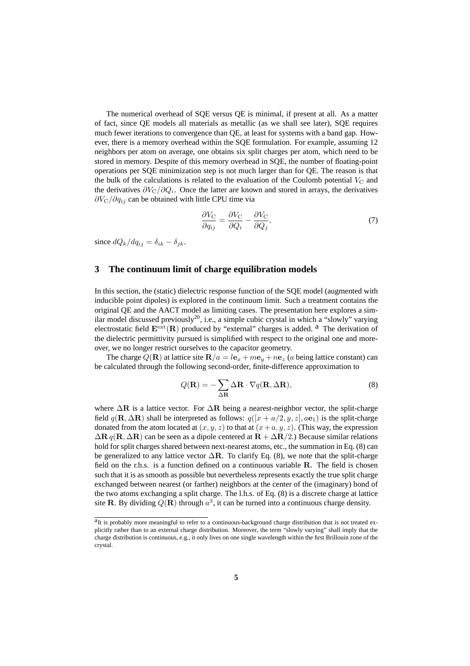The numerical overhead of SQE versus QE is minimal, if present at all. As a matter of fact, since QE models all materials as metallic (as we shall see later), SQE requires much fewer iterations to convergence than QE, at least for systems with a band gap. However, there is a memory overhead within the SQE formulation. For example, assuming 12 neighbors per atom on average, one obtains six split charges per atom, which need to be stored in memory. Despite of this memory overhead in SQE, the number of floating-point operations per SQE minimization step is not much larger than for QE. The reason is that the bulk of the calculations is related to the evaluation of the Coulomb potential  $V_{\rm C}$  and the derivatives  $\partial V_C/\partial Q_i$ . Once the latter are known and stored in arrays, the derivatives  $\partial V_C/\partial q_{ij}$  can be obtained with little CPU time via

$$
\frac{\partial V_{\rm C}}{\partial q_{ij}} = \frac{\partial V_{\rm C}}{\partial Q_i} - \frac{\partial V_{\rm C}}{\partial Q_j},\tag{7}
$$

since  $dQ_k/dq_{ij} = \delta_{ik} - \delta_{jk}$ .

### **3 The continuum limit of charge equilibration models**

In this section, the (static) dielectric response function of the SQE model (augmented with inducible point dipoles) is explored in the continuum limit. Such a treatment contains the original QE and the AACT model as limiting cases. The presentation here explores a similar model discussed previously<sup>20</sup>, i.e., a simple cubic crystal in which a "slowly" varying electrostatic field  $\mathbf{E}^{\text{ext}}(\mathbf{R})$  produced by "external" charges is added. <sup>a</sup> The derivation of the dielectric permittivity pursued is simplified with respect to the original one and moreover, we no longer restrict ourselves to the capacitor geometry.

The charge  $Q(\mathbf{R})$  at lattice site  $\mathbf{R}/a = l\mathbf{e}_x + m\mathbf{e}_y + n\mathbf{e}_z$  (a being lattice constant) can be calculated through the following second-order, finite-difference approximation to

$$
Q(\mathbf{R}) = -\sum_{\Delta \mathbf{R}} \Delta \mathbf{R} \cdot \nabla q(\mathbf{R}, \Delta \mathbf{R}),
$$
\n(8)

where  $\Delta \mathbf{R}$  is a lattice vector. For  $\Delta \mathbf{R}$  being a nearest-neighbor vector, the split-charge field  $q(\mathbf{R}, \Delta \mathbf{R})$  shall be interpreted as follows:  $q([x + a/2, y, z], a\mathbf{e}_1)$  is the split-charge donated from the atom located at  $(x, y, z)$  to that at  $(x + a, y, z)$ . (This way, the expression  $\Delta \mathbf{R} q(\mathbf{R}, \Delta \mathbf{R})$  can be seen as a dipole centered at  $\mathbf{R} + \Delta \mathbf{R}/2$ .) Because similar relations hold for split charges shared between next-nearest atoms, etc., the summation in Eq. (8) can be generalized to any lattice vector  $\Delta \mathbf{R}$ . To clarify Eq. (8), we note that the split-charge field on the r.h.s. is a function defined on a continuous variable  $\bf{R}$ . The field is chosen such that it is as smooth as possible but nevertheless represents exactly the true split charge exchanged between nearest (or farther) neighbors at the center of the (imaginary) bond of the two atoms exchanging a split charge. The l.h.s. of Eq. (8) is a discrete charge at lattice site R. By dividing  $Q(\mathbf{R})$  through  $a^3$ , it can be turned into a continuous charge density.

<sup>&</sup>lt;sup>a</sup>It is probably more meaningful to refer to a continuous-background charge distribution that is not treated explicitly rather than to an external charge distribution. Moreover, the term "slowly varying" shall imply that the charge distribution is continuous, e.g., it only lives on one single wavelength within the first Brillouin zone of the crystal.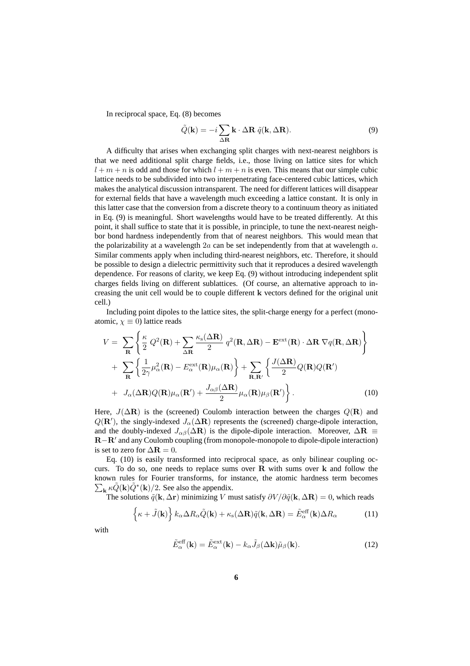In reciprocal space, Eq. (8) becomes

$$
\tilde{Q}(\mathbf{k}) = -i \sum_{\Delta \mathbf{R}} \mathbf{k} \cdot \Delta \mathbf{R} \ \tilde{q}(\mathbf{k}, \Delta \mathbf{R}). \tag{9}
$$

A difficulty that arises when exchanging split charges with next-nearest neighbors is that we need additional split charge fields, i.e., those living on lattice sites for which  $l + m + n$  is odd and those for which  $l + m + n$  is even. This means that our simple cubic lattice needs to be subdivided into two interpenetrating face-centered cubic lattices, which makes the analytical discussion intransparent. The need for different lattices will disappear for external fields that have a wavelength much exceeding a lattice constant. It is only in this latter case that the conversion from a discrete theory to a continuum theory as initiated in Eq. (9) is meaningful. Short wavelengths would have to be treated differently. At this point, it shall suffice to state that it is possible, in principle, to tune the next-nearest neighbor bond hardness independently from that of nearest neighbors. This would mean that the polarizability at a wavelength  $2a$  can be set independently from that at wavelength a. Similar comments apply when including third-nearest neighbors, etc. Therefore, it should be possible to design a dielectric permittivity such that it reproduces a desired wavelength dependence. For reasons of clarity, we keep Eq. (9) without introducing independent split charges fields living on different sublattices. (Of course, an alternative approach to increasing the unit cell would be to couple different k vectors defined for the original unit cell.)

Including point dipoles to the lattice sites, the split-charge energy for a perfect (monoatomic,  $\chi \equiv 0$ ) lattice reads

$$
V = \sum_{\mathbf{R}} \left\{ \frac{\kappa}{2} Q^2(\mathbf{R}) + \sum_{\Delta \mathbf{R}} \frac{\kappa_s(\Delta \mathbf{R})}{2} q^2(\mathbf{R}, \Delta \mathbf{R}) - \mathbf{E}^{\text{ext}}(\mathbf{R}) \cdot \Delta \mathbf{R} \nabla q(\mathbf{R}, \Delta \mathbf{R}) \right\} + \sum_{\mathbf{R}} \left\{ \frac{1}{2\gamma} \mu_\alpha^2(\mathbf{R}) - E^{\text{ext}}_{\alpha}(\mathbf{R}) \mu_\alpha(\mathbf{R}) \right\} + \sum_{\mathbf{R}, \mathbf{R}'} \left\{ \frac{J(\Delta \mathbf{R})}{2} Q(\mathbf{R}) Q(\mathbf{R'}) \right. + J_{\alpha}(\Delta \mathbf{R}) Q(\mathbf{R}) \mu_\alpha(\mathbf{R}') + \frac{J_{\alpha\beta}(\Delta \mathbf{R})}{2} \mu_\alpha(\mathbf{R}) \mu_\beta(\mathbf{R}') \right\}.
$$
 (10)

Here,  $J(\Delta \mathbf{R})$  is the (screened) Coulomb interaction between the charges  $Q(\mathbf{R})$  and  $Q(\mathbf{R}')$ , the singly-indexed  $J_{\alpha}(\Delta \mathbf{R})$  represents the (screened) charge-dipole interaction, and the doubly-indexed  $J_{\alpha\beta}(\Delta \mathbf{R})$  is the dipole-dipole interaction. Moreover,  $\Delta \mathbf{R} \equiv$ R−R′ and any Coulomb coupling (from monopole-monopole to dipole-dipole interaction) is set to zero for  $\Delta \mathbf{R} = 0$ .

Eq. (10) is easily transformed into reciprocal space, as only bilinear coupling occurs. To do so, one needs to replace sums over  $R$  with sums over  $k$  and follow the known rules for Fourier transforms, for instance, the atomi c hardness term becomes  $\sum_{\mathbf{k}} \kappa \tilde{Q}(\mathbf{k}) \tilde{Q}^*(\mathbf{k})/2$ . See also the appendix.

The solutions  $\tilde{q}$ (**k**,  $\Delta$ **r**) minimizing V must satisfy  $\partial V / \partial \tilde{q}$ (**k**,  $\Delta$ **R**) = 0, which reads

$$
\left\{\kappa + \tilde{J}(\mathbf{k})\right\} k_{\alpha} \Delta R_{\alpha} \tilde{Q}(\mathbf{k}) + \kappa_{\rm s} (\Delta \mathbf{R}) \tilde{q}(\mathbf{k}, \Delta \mathbf{R}) = \tilde{E}_{\alpha}^{\text{eff}}(\mathbf{k}) \Delta R_{\alpha}
$$
 (11)

with

$$
\tilde{E}_{\alpha}^{\text{eff}}(\mathbf{k}) = \tilde{E}_{\alpha}^{\text{ext}}(\mathbf{k}) - k_{\alpha}\tilde{J}_{\beta}(\Delta \mathbf{k})\tilde{\mu}_{\beta}(\mathbf{k}).
$$
\n(12)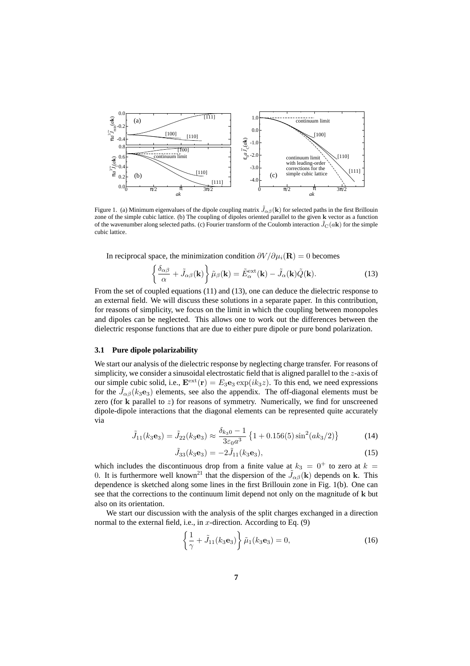

Figure 1. (a) Minimum eigenvalues of the dipole coupling matrix  $\tilde{J}_{\alpha\beta}(\mathbf{k})$  for selected paths in the first Brillouin zone of the simple cubic lattice. (b) The coupling of dipoles oriented parallel to the given k vector as a function of the wavenumber along selected paths. (c) Fourier transform of the Coulomb interaction  $\tilde{J}_C(a\mathbf{k})$  for the simple cubic lattice.

In reciprocal space, the minimization condition  $\partial V / \partial \mu_i(\mathbf{R}) = 0$  becomes

$$
\left\{\frac{\delta_{\alpha\beta}}{\alpha} + \tilde{J}_{\alpha\beta}(\mathbf{k})\right\}\tilde{\mu}_{\beta}(\mathbf{k}) = \tilde{E}_{\alpha}^{\text{ext}}(\mathbf{k}) - \tilde{J}_{\alpha}(\mathbf{k})\tilde{Q}(\mathbf{k}).
$$
\n(13)

From the set of coupled equations (11) and (13), one can deduce the dielectric response to an external field. We will discuss these solutions in a separate paper. In this contribution, for reasons of simplicity, we focus on the limit in which the coupling between monopoles and dipoles can be neglected. This allows one to work out the differences between the dielectric response functions that are due to either pure dipole or pure bond polarization.

### **3.1 Pure dipole polarizability**

We start our analysis of the dielectric response by neglecting charge transfer. For reasons of simplicity, we consider a sinusoidal electrostatic field that is aligned parallel to the z-axis of our simple cubic solid, i.e.,  $\mathbf{E}^{\text{ext}}(\mathbf{r}) = E_3 \mathbf{e}_3 \exp(ik_3z)$ . To this end, we need expressions for the  $\tilde{J}_{\alpha\beta}(k_3e_3)$  elements, see also the appendix. The off-diagonal elements must be zero (for  $k$  parallel to  $z$ ) for reasons of symmetry. Numerically, we find for unscreened dipole-dipole interactions that the diagonal elements can be represented quite accurately via

$$
\tilde{J}_{11}(k_3 \mathbf{e}_3) = \tilde{J}_{22}(k_3 \mathbf{e}_3) \approx \frac{\delta_{k_3 0} - 1}{3\varepsilon_0 a^3} \left\{ 1 + 0.156(5) \sin^2(a k_3/2) \right\}
$$
(14)

$$
\tilde{J}_{33}(k_3\mathbf{e}_3) = -2\tilde{J}_{11}(k_3\mathbf{e}_3),\tag{15}
$$

which includes the discontinuous drop from a finite value at  $k_3 = 0^+$  to zero at  $k =$ 0. It is furthermore well known<sup>21</sup> that the dispersion of the  $\tilde{J}_{\alpha\beta}({\bf k})$  depends on k. This dependence is sketched along some lines in the first Brillouin zone in Fig. 1(b). One can see that the corrections to the continuum limit depend not only on the magnitude of k but also on its orientation.

We start our discussion with the analysis of the split charges exchanged in a direction normal to the external field, i.e., in  $x$ -direction. According to Eq. (9)

$$
\left\{\frac{1}{\gamma} + \tilde{J}_{11}(k_3 \mathbf{e}_3) \right\} \tilde{\mu}_1(k_3 \mathbf{e}_3) = 0, \tag{16}
$$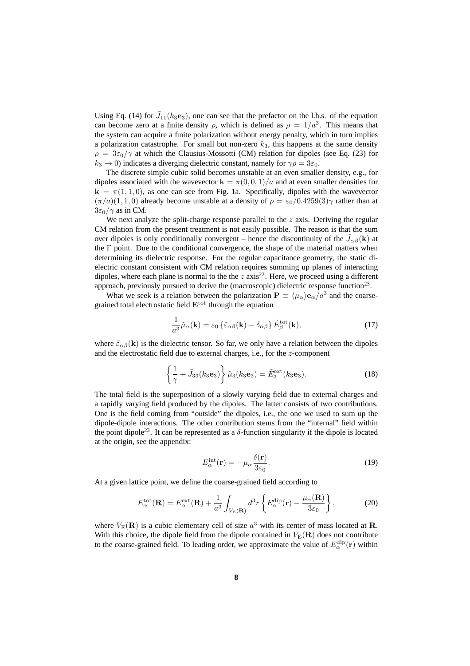Using Eq. (14) for  $\tilde{J}_{11}(k_3e_3)$ , one can see that the prefactor on the l.h.s. of the equation can become zero at a finite density  $\rho$ , which is defined as  $\rho = 1/a^3$ . This means that the system can acquire a finite polarization without energy penalty, which in turn implies a polarization catastrophe. For small but non-zero  $k_3$ , this happens at the same density  $\rho = 3\varepsilon_0/\gamma$  at which the Clausius-Mossotti (CM) relation for dipoles (see Eq. (23) for  $k_3 \rightarrow 0$ ) indicates a diverging dielectric constant, namely for  $\gamma \rho = 3\varepsilon_0$ .

The discrete simple cubic solid becomes unstable at an even smaller density, e.g., for dipoles associated with the wavevector  $\mathbf{k} = \pi(0, 0, 1)/a$  and at even smaller densities for  $k = \pi(1, 1, 0)$ , as one can see from Fig. 1a. Specifically, dipoles with the wavevector  $(\pi/a)(1, 1, 0)$  already become unstable at a density of  $\rho = \varepsilon_0/0.4259(3)\gamma$  rather than at  $3\varepsilon_0/\gamma$  as in CM.

We next analyze the split-charge response parallel to the  $z$  axis. Deriving the regular CM relation from the present treatment is not easily possible. The reason is that the sum over dipoles is only conditionally convergent – hence the discontinuity of the  $\tilde{J}_{\alpha\beta}({\bf k})$  at the Γ point. Due to the conditional convergence, the shape of the material matters when determining its dielectric response. For the regular capacitance geometry, the static dielectric constant consistent with CM relation requires summing up planes of interacting dipoles, where each plane is normal to the the  $z$  axis<sup>22</sup>. Here, we proceed using a different approach, previously pursued to derive the (macroscopic) dielectric response function $^{23}$ .

What we seek is a relation between the polarization  $P \equiv \langle \mu_\alpha \rangle e_\alpha/a^3$  and the coarsegrained total electrostatic field  $E<sup>tot</sup>$  through the equation

$$
\frac{1}{a^3}\tilde{\mu}_{\alpha}(\mathbf{k}) = \varepsilon_0 \left\{ \tilde{\varepsilon}_{\alpha\beta}(\mathbf{k}) - \delta_{\alpha\beta} \right\} \tilde{E}_{\beta}^{\text{tot}}(\mathbf{k}),\tag{17}
$$

where  $\tilde{\varepsilon}_{\alpha\beta}(\mathbf{k})$  is the dielectric tensor. So far, we only have a relation between the dipoles and the electrostatic field due to external charges, i.e., for the z-component

$$
\left\{\frac{1}{\gamma} + \tilde{J}_{33}(k_3 \mathbf{e}_3)\right\} \tilde{\mu}_3(k_3 \mathbf{e}_3) = \tilde{E}_3^{\text{ext}}(k_3 \mathbf{e}_3). \tag{18}
$$

The total field is the superposition of a slowly varying field due to external charges and a rapidly varying field produced by the dipoles. The latter consists of two contributions. One is the field coming from "outside" the dipoles, i.e., the one we used to sum up the dipole-dipole interactions. The other contribution stems from the "internal" field within the point dipole<sup>23</sup>. It can be represented as a  $\delta$ -function singularity if the dipole is located at the origin, see the appendix:

$$
E_{\alpha}^{\rm int}(\mathbf{r}) = -\mu_{\alpha} \frac{\delta(\mathbf{r})}{3\varepsilon_0}.
$$
 (19)

At a given lattice point, we define the coarse-grained field according to

$$
E_{\alpha}^{\rm tot}(\mathbf{R}) = E_{\alpha}^{\rm ext}(\mathbf{R}) + \frac{1}{a^3} \int_{V_{\rm E}(\mathbf{R})} d^3 r \left\{ E_{\alpha}^{\rm dip}(\mathbf{r}) - \frac{\mu_{\alpha}(\mathbf{R})}{3\varepsilon_0} \right\},\tag{20}
$$

where  $V_{\text{E}}(\mathbf{R})$  is a cubic elementary cell of size  $a^3$  with its center of mass located at **R**. With this choice, the dipole field from the dipole contained in  $V_{\rm E}({\bf R})$  does not contribute to the coarse-grained field. To leading order, we approximate the value of  $E^{\text{dip}}_{\alpha}(\mathbf{r})$  within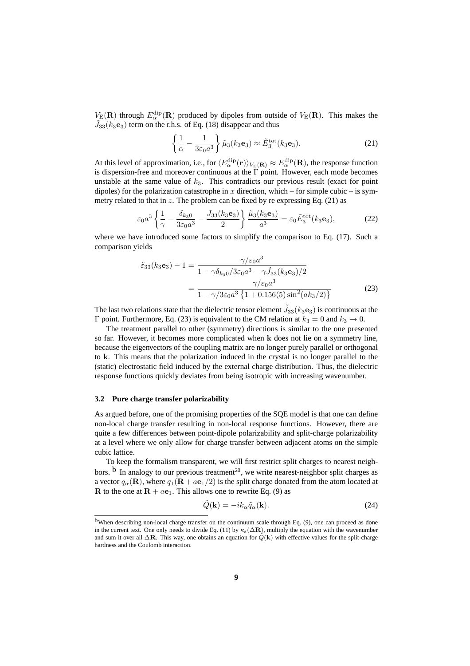$V_{\rm E}({\bf R})$  through  $E_{\alpha}^{\rm dip}({\bf R})$  produced by dipoles from outside of  $V_{\rm E}({\bf R})$ . This makes the  $\tilde{J}_{33}(k_3e_3)$  term on the r.h.s. of Eq. (18) disappear and thus

$$
\left\{\frac{1}{\alpha} - \frac{1}{3\varepsilon_0 a^3}\right\} \tilde{\mu}_3(k_3 \mathbf{e}_3) \approx \tilde{E}_3^{\text{tot}}(k_3 \mathbf{e}_3). \tag{21}
$$

At this level of approximation, i.e., for  $\langle E_\alpha^{\rm dip}({\bf r})\rangle_{V_{\rm E}({\bf R})} \approx E_\alpha^{\rm dip}({\bf R})$ , the response function is dispersion-free and moreover continuous at the  $\Gamma$  point. However, each mode becomes unstable at the same value of  $k_3$ . This contradicts our previous result (exact for point dipoles) for the polarization catastrophe in x direction, which – for simple cubic – is symmetry related to that in z. The problem can be fixed by re expressing Eq.  $(21)$  as

$$
\varepsilon_0 a^3 \left\{ \frac{1}{\gamma} - \frac{\delta_{k_3 0}}{3 \varepsilon_0 a^3} - \frac{J_{33}(k_3 \mathbf{e}_3)}{2} \right\} \frac{\tilde{\mu}_3(k_3 \mathbf{e}_3)}{a^3} = \varepsilon_0 \tilde{E}_3^{\text{tot}}(k_3 \mathbf{e}_3),\tag{22}
$$

where we have introduced some factors to simplify the comparison to Eq. (17). Such a comparison yields

$$
\tilde{\varepsilon}_{33}(k_3 \mathbf{e}_3) - 1 = \frac{\gamma/\varepsilon_0 a^3}{1 - \gamma \delta_{k_3 0} / 3\varepsilon_0 a^3 - \gamma \tilde{J}_{33}(k_3 \mathbf{e}_3) / 2}
$$

$$
= \frac{\gamma/\varepsilon_0 a^3}{1 - \gamma / 3\varepsilon_0 a^3 \left\{ 1 + 0.156(5) \sin^2(a k_3 / 2) \right\}}
$$
(23)

The last two relations state that the dielectric tensor element  $\tilde{J}_{33}(k_3{\bf e}_3)$  is continuous at the Γ point. Furthermore, Eq. (23) is equivalent to the CM relation at  $k_3 = 0$  and  $k_3 \rightarrow 0$ .

The treatment parallel to other (symmetry) directions is similar to the one presented so far. However, it becomes more complicated when k does not lie on a symmetry line, because the eigenvectors of the coupling matrix are no longer purely parallel or orthogonal to k. This means that the polarization induced in the crystal is no longer parallel to the (static) electrostatic field induced by the external charge distribution. Thus, the dielectric response functions quickly deviates from being isotropic with increasing wavenumber.

#### **3.2 Pure charge transfer polarizability**

As argued before, one of the promising properties of the SQE model is that one can define non-local charge transfer resulting in non-local response functions. However, there are quite a few differences between point-dipole polarizability and split-charge polarizability at a level where we only allow for charge transfer between adjacent atoms on the simple cubic lattice.

To keep the formalism transparent, we will first restrict split charges to nearest neighbors.  $\overline{b}$  In analogy to our previous treatment<sup>20</sup>, we write nearest-neighbor split charges as a vector  $q_{\alpha}(\mathbf{R})$ , where  $q_1(\mathbf{R} + a\mathbf{e}_1/2)$  is the split charge donated from the atom located at **R** to the one at  $\mathbf{R} + a\mathbf{e}_1$ . This allows one to rewrite Eq. (9) as

$$
\tilde{Q}(\mathbf{k}) = -ik_{\alpha}\tilde{q}_{\alpha}(\mathbf{k}).\tag{24}
$$

bWhen describing non-local charge transfer on the continuum scale through Eq. (9), one can proceed as done in the current text. One only needs to divide Eq. (11) by  $\kappa_s(\Delta \mathbf{R})$ , multiply the equation with the wavenumber and sum it over all  $\Delta \mathbf{R}$ . This way, one obtains an equation for  $\tilde{Q}(\mathbf{k})$  with effective values for the split-charge hardness and the Coulomb interaction.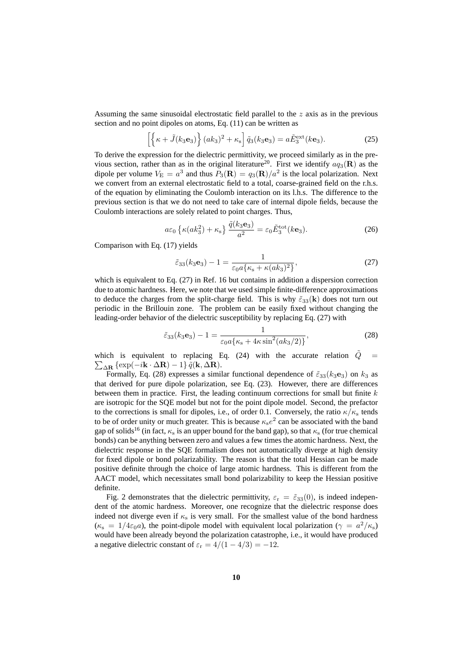Assuming the same sinusoidal electrostatic field parallel to the z axis as in the previous section and no point dipoles on atoms, Eq. (11) can be written as

$$
\left[\left\{\kappa + \tilde{J}(k_3\mathbf{e}_3)\right\}(ak_3)^2 + \kappa_s\right]\tilde{q}_3(k_3\mathbf{e}_3) = a\tilde{E}_3^{\text{ext}}(k\mathbf{e}_3). \tag{25}
$$

To derive the expression for the dielectric permittivity, we proceed similarly as in the previous section, rather than as in the original literature<sup>20</sup>. First we identify  $aq_3(\mathbf{R})$  as the dipole per volume  $V_{\rm E} = a^3$  and thus  $P_3({\bf R}) = q_3({\bf R})/a^2$  is the local polarization. Next we convert from an external electrostatic field to a total, coarse-grained field on the r.h.s. of the equation by eliminating the Coulomb interaction on its l.h.s. The difference to the previous section is that we do not need to take care of internal dipole fields, because the Coulomb interactions are solely related to point charges. Thus,

$$
a\varepsilon_0 \left\{\kappa(a k_3^2) + \kappa_s\right\} \frac{\tilde{q}(k_3 \mathbf{e}_3)}{a^2} = \varepsilon_0 \tilde{E}_3^{\text{tot}}(k \mathbf{e}_3). \tag{26}
$$

Comparison with Eq. (17) yields

$$
\tilde{\varepsilon}_{33}(k_3 \mathbf{e}_3) - 1 = \frac{1}{\varepsilon_0 a \{ \kappa_s + \kappa (ak_3)^2 \}},\tag{27}
$$

which is equivalent to Eq. (27) in Ref. 16 but contains in addition a dispersion correction due to atomic hardness. Here, we note that we used simple finite-difference approximations to deduce the charges from the split-charge field. This is why  $\tilde{\epsilon}_{33}(\mathbf{k})$  does not turn out periodic in the Brillouin zone. The problem can be easily fixed without changing the leading-order behavior of the dielectric susceptibility by replacing Eq. (27) with

$$
\tilde{\varepsilon}_{33}(k_3 \mathbf{e}_3) - 1 = \frac{1}{\varepsilon_0 a \{ \kappa_s + 4\kappa \sin^2(a k_3 / 2) \}},\tag{28}
$$

which is equivalent to replacing Eq. (24) with the accurate relation  $\tilde{Q}$  =  $\sum_{\Delta \mathbf{R}} {\exp(-i\mathbf{k} \cdot \Delta \mathbf{R}) - 1} \, \tilde{q}(\mathbf{k}, \Delta \mathbf{R}).$ 

Formally, Eq. (28) expresses a similar functional dependence of  $\tilde{\varepsilon}_{33}(k_3e_3)$  on  $k_3$  as that derived for pure dipole polarization, see Eq. (23). However, there are differences between them in practice. First, the leading continuum corrections for small but finite  $k$ are isotropic for the SQE model but not for the point dipole model. Second, the prefactor to the corrections is small for dipoles, i.e., of order 0.1. Conversely, the ratio  $\kappa/\kappa_s$  tends to be of order unity or much greater. This is because  $\kappa_{\rm s}e^2$  can be associated with the band gap of solids<sup>16</sup> (in fact,  $\kappa_s$  is an upper bound for the band gap), so that  $\kappa_s$  (for true chemical bonds) can be anything between zero and values a few times the atomic hardness. Next, the dielectric response in the SQE formalism does not automatically diverge at high density for fixed dipole or bond polarizability. The reason is that the total Hessian can be made positive definite through the choice of large atomic hardness. This is different from the AACT model, which necessitates small bond polarizability to keep the Hessian positive definite.

Fig. 2 demonstrates that the dielectric permittivity,  $\varepsilon_{\rm r} = \tilde{\varepsilon}_{33}(0)$ , is indeed independent of the atomic hardness. Moreover, one recognize that the dielectric response does indeed not diverge even if  $\kappa_s$  is very small. For the smallest value of the bond hardness  $(\kappa_s = 1/4\varepsilon_0 a)$ , the point-dipole model with equivalent local polarization  $(\gamma = a^2/\kappa_s)$ would have been already beyond the polarization catastrophe, i.e., it would have produced a negative dielectric constant of  $\varepsilon_r = 4/(1 - 4/3) = -12$ .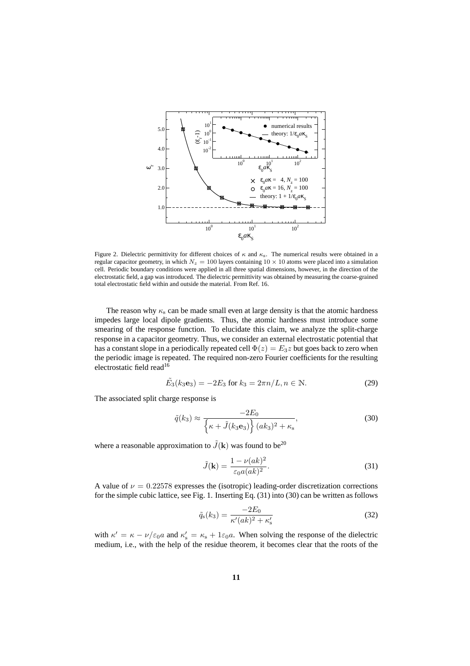

Figure 2. Dielectric permittivity for different choices of  $\kappa$  and  $\kappa$ <sub>s</sub>. The numerical results were obtained in a regular capacitor geometry, in which  $N_z = 100$  layers containing  $10 \times 10$  atoms were placed into a simulation cell. Periodic boundary conditions were applied in all three spatial dimensions, however, in the direction of the electrostatic field, a gap was introduced. The dielectric permittivity was obtained by measuring the coarse-grained total electrostatic field within and outside the material. From Ref. 16.

The reason why  $\kappa_s$  can be made small even at large density is that the atomic hardness impedes large local dipole gradients. Thus, the atomic hardness must introduce some smearing of the response function. To elucidate this claim, we analyze the split-charge response in a capacitor geometry. Thus, we consider an external electrostatic potential that has a constant slope in a periodically repeated cell  $\Phi(z) = E_3 z$  but goes back to zero when the periodic image is repeated. The required non-zero Fourier coefficients for the resulting electrostatic field read<sup>16</sup>

$$
\tilde{E}_3(k_3 e_3) = -2E_3 \text{ for } k_3 = 2\pi n/L, n \in \mathbb{N}.
$$
 (29)

The associated split charge response is

$$
\tilde{q}(k_3) \approx \frac{-2E_0}{\left\{\kappa + \tilde{J}(k_3 \mathbf{e}_3)\right\}(ak_3)^2 + \kappa_s},\tag{30}
$$

where a reasonable approximation to  $\tilde{J}(\mathbf{k})$  was found to be<sup>20</sup>

$$
\tilde{J}(\mathbf{k}) = \frac{1 - \nu(ak)^2}{\varepsilon_0 a (ak)^2}.
$$
\n(31)

A value of  $\nu = 0.22578$  expresses the (isotropic) leading-order discretization corrections for the simple cubic lattice, see Fig. 1. Inserting Eq. (31) into (30) can be written as follows

$$
\tilde{q}_s(k_3) = \frac{-2E_0}{\kappa'(ak)^2 + \kappa'_s} \tag{32}
$$

with  $\kappa' = \kappa - \nu/\varepsilon_0 a$  and  $\kappa'_{\rm s} = \kappa_{\rm s} + 1\varepsilon_0 a$ . When solving the response of the dielectric medium, i.e., with the help of the residue theorem, it becomes clear that the roots of the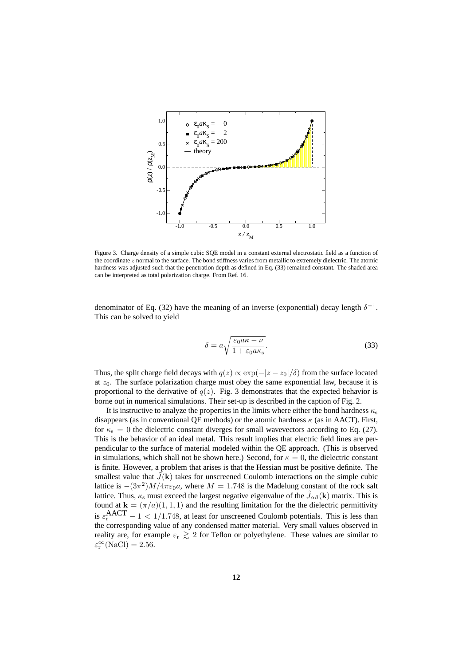

Figure 3. Charge density of a simple cubic SQE model in a constant external electrostatic field as a function of the coordinate  $z$  normal to the surface. The bond stiffness varies from metallic to extremely dielectric. The atomic hardness was adjusted such that the penetration depth as defined in Eq. (33) remained constant. The shaded area can be interpreted as total polarization charge. From Ref. 16.

denominator of Eq. (32) have the meaning of an inverse (exponential) decay length  $\delta^{-1}$ . This can be solved to yield

$$
\delta = a \sqrt{\frac{\varepsilon_0 a \kappa - \nu}{1 + \varepsilon_0 a \kappa_s}}.
$$
\n(33)

Thus, the split charge field decays with  $q(z) \propto \exp(-|z - z_0|/\delta)$  from the surface located at  $z_0$ . The surface polarization charge must obey the same exponential law, because it is proportional to the derivative of  $q(z)$ . Fig. 3 demonstrates that the expected behavior is borne out in numerical simulations. Their set-up is described in the caption of Fig. 2.

It is instructive to analyze the properties in the limits where either the bond hardness  $\kappa_{\rm s}$ disappears (as in conventional QE methods) or the atomic hardness  $\kappa$  (as in AACT). First, for  $\kappa_s = 0$  the dielectric constant diverges for small wavevectors according to Eq. (27). This is the behavior of an ideal metal. This result implies that electric field lines are perpendicular to the surface of material modeled within the QE approach. (This is observed in simulations, which shall not be shown here.) Second, for  $\kappa = 0$ , the dielectric constant is finite. However, a problem that arises is that the Hessian must be positive definite. The smallest value that  $\tilde{J}(\mathbf{k})$  takes for unscreened Coulomb interactions on the simple cubic lattice is  $-(3\pi^2)M/4\pi\varepsilon_0a$ , where  $M = 1.748$  is the Madelung constant of the rock salt lattice. Thus,  $\kappa_s$  must exceed the largest negative eigenvalue of the  $\tilde{J}_{\alpha\beta}({\bf k})$  matrix. This is found at  $\mathbf{k} = (\pi/a)(1, 1, 1)$  and the resulting limitation for the the dielectric permittivity is  $\varepsilon_r^{\text{AACT}} - 1 < 1/1.748$ , at least for unscreened Coulomb potentials. This is less than the corresponding value of any condensed matter material. Very small values observed in reality are, for example  $\varepsilon_r \gtrsim 2$  for Teflon or polyethylene. These values are similar to  $\varepsilon_{\rm r}^{\infty}({\rm NaCl}) = 2.56.$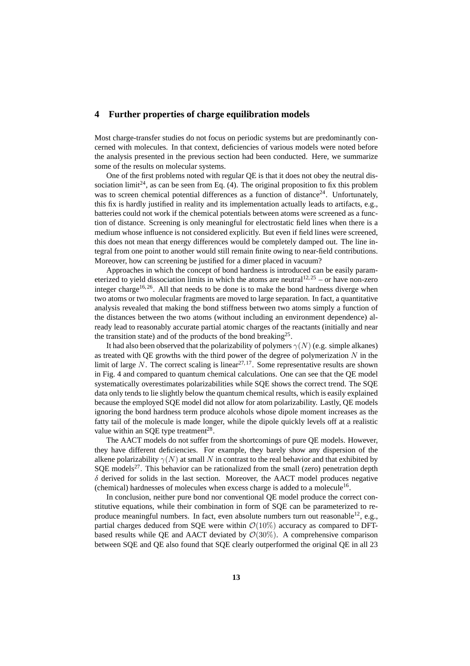### **4 Further properties of charge equilibration models**

Most charge-transfer studies do not focus on periodic systems but are predominantly concerned with molecules. In that context, deficiencies of various models were noted before the analysis presented in the previous section had been conducted. Here, we summarize some of the results on molecular systems.

One of the first problems noted with regular QE is that it does not obey the neutral dissociation limit<sup>24</sup>, as can be seen from Eq. (4). The original proposition to fix this problem was to screen chemical potential differences as a function of distance<sup>24</sup>. Unfortunately, this fix is hardly justified in reality and its implementation actually leads to artifacts, e.g., batteries could not work if the chemical potentials between atoms were screened as a function of distance. Screening is only meaningful for electrostatic field lines when there is a medium whose influence is not considered explicitly. But even if field lines were screened, this does not mean that energy differences would be completely damped out. The line integral from one point to another would still remain finite owing to near-field contributions. Moreover, how can screening be justified for a dimer placed in vacuum?

Approaches in which the concept of bond hardness is introduced can be easily parameterized to yield dissociation limits in which the atoms are neutral  $12,25$  – or have non-zero integer charge<sup>16, 26</sup>. All that needs to be done is to make the bond hardness diverge when two atoms or two molecular fragments are moved to large separation. In fact, a quantitative analysis revealed that making the bond stiffness between two atoms simply a function of the distances between the two atoms (without including an environment dependence) already lead to reasonably accurate partial atomic charges of the reactants (initially and near the transition state) and of the products of the bond breaking<sup>25</sup>.

It had also been observed that the polarizability of polymers  $\gamma(N)$  (e.g. simple alkanes) as treated with QE growths with the third power of the degree of polymerization  $N$  in the limit of large  $N$ . The correct scaling is linear<sup>27,17</sup>. Some representative results are shown in Fig. 4 and compared to quantum chemical calculations. One can see that the QE model systematically overestimates polarizabilities while SQE shows the correct trend. The SQE data only tends to lie slightly below the quantum chemical results, which is easily explained because the employed SQE model did not allow for atom polarizability. Lastly, QE models ignoring the bond hardness term produce alcohols whose dipole moment increases as the fatty tail of the molecule is made longer, while the dipole quickly levels off at a realistic value within an SQE type treatment<sup>28</sup>.

The AACT models do not suffer from the shortcomings of pure QE models. However, they have different deficiencies. For example, they barely show any dispersion of the alkene polarizability  $\gamma(N)$  at small N in contrast to the real behavior and that exhibited by  $SQE$  models<sup>27</sup>. This behavior can be rationalized from the small (zero) penetration depth  $\delta$  derived for solids in the last section. Moreover, the AACT model produces negative (chemical) hardnesses of molecules when excess charge is added to a molecule<sup>16</sup>.

In conclusion, neither pure bond nor conventional QE model produce the correct constitutive equations, while their combination in form of SQE can be parameterized to reproduce meaningful numbers. In fact, even absolute numbers turn out reasonable<sup>12</sup>, e.g., partial charges deduced from SQE were within  $\mathcal{O}(10\%)$  accuracy as compared to DFTbased results while OE and AACT deviated by  $\mathcal{O}(30\%)$ . A comprehensive comparison between SQE and QE also found that SQE clearly outperformed the original QE in all 23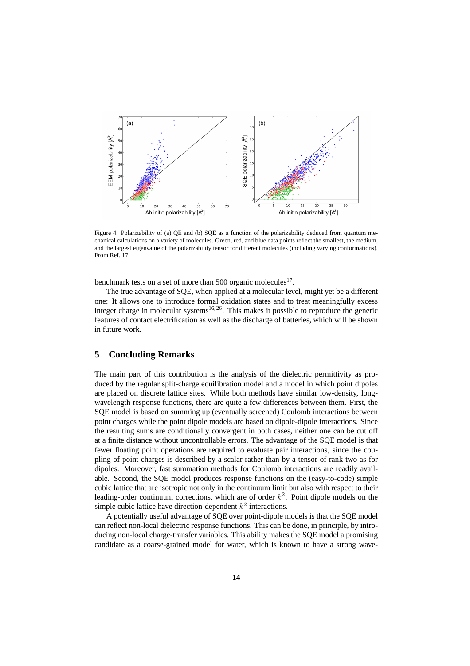

Figure 4. Polarizability of (a) QE and (b) SQE as a function of the polarizability deduced from quantum mechanical calculations on a variety of molecules. Green, red, and blue data points reflect the smallest, the medium, and the largest eigenvalue of the polarizability tensor for different molecules (including varying conformations). From Ref. 17.

benchmark tests on a set of more than 500 organic molecules<sup>17</sup>.

The true advantage of SQE, when applied at a molecular level, might yet be a different one: It allows one to introduce formal oxidation states and to treat meaningfully excess integer charge in molecular systems<sup>16, 26</sup>. This makes it possible to reproduce the generic features of contact electrification as well as the discharge of batteries, which will be shown in future work.

### **5 Concluding Remarks**

The main part of this contribution is the analysis of the dielectric permittivity as produced by the regular split-charge equilibration model and a model in which point dipoles are placed on discrete lattice sites. While both methods have similar low-density, longwavelength response functions, there are quite a few differences between them. First, the SQE model is based on summing up (eventually screened) Coulomb interactions between point charges while the point dipole models are based on dipole-dipole interactions. Since the resulting sums are conditionally convergent in both cases, neither one can be cut off at a finite distance without uncontrollable errors. The advantage of the SQE model is that fewer floating point operations are required to evaluate pair interactions, since the coupling of point charges is described by a scalar rather than by a tensor of rank two as for dipoles. Moreover, fast summation methods for Coulomb interactions are readily available. Second, the SQE model produces response functions on the (easy-to-code) simple cubic lattice that are isotropic not only in the continuum limit but also with respect to their leading-order continuum corrections, which are of order  $k^2$ . Point dipole models on the simple cubic lattice have direction-dependent  $k^2$  interactions.

A potentially useful advantage of SQE over point-dipole models is that the SQE model can reflect non-local dielectric response functions. This can be done, in principle, by introducing non-local charge-transfer variables. This ability makes the SQE model a promising candidate as a coarse-grained model for water, which is known to have a strong wave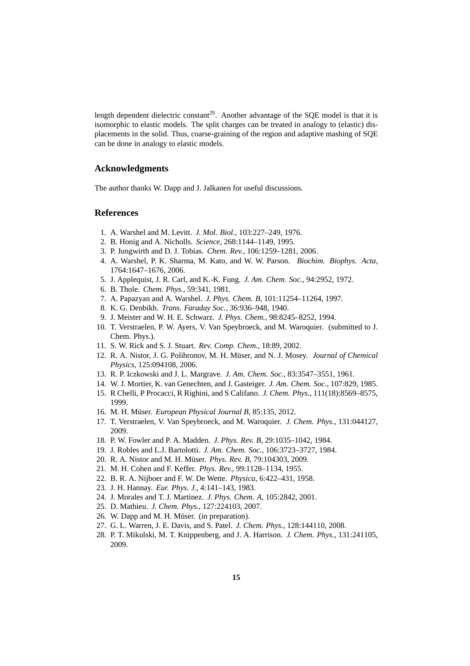length dependent dielectric constant<sup>29</sup>. Another advantage of the SQE model is that it is isomorphic to elastic models. The split charges can be treated in analogy to (elastic) displacements in the solid. Thus, coarse-graining of the region and adaptive mashing of SQE can be done in analogy to elastic models.

# **Acknowledgments**

The author thanks W. Dapp and J. Jalkanen for useful discussions.

### **References**

- 1. A. Warshel and M. Levitt. *J. Mol. Biol.*, 103:227–249, 1976.
- 2. B. Honig and A. Nicholls. *Science*, 268:1144–1149, 1995.
- 3. P. Jungwirth and D. J. Tobias. *Chem. Rev.*, 106:1259–1281, 2006.
- 4. A. Warshel, P. K. Sharma, M. Kato, and W. W. Parson. *Biochim. Biophys. Acta*, 1764:1647–1676, 2006.
- 5. J. Applequist, J. R. Carl, and K.-K. Fung. *J. Am. Chem. Soc.*, 94:2952, 1972.
- 6. B. Thole. *Chem. Phys.*, 59:341, 1981.
- 7. A. Papazyan and A. Warshel. *J. Phys. Chem. B*, 101:11254–11264, 1997.
- 8. K. G. Denbikh. *Trans. Faraday Soc.*, 36:936–948, 1940.
- 9. J. Meister and W. H. E. Schwarz. *J. Phys. Chem.*, 98:8245–8252, 1994.
- 10. T. Verstraelen, P. W. Ayers, V. Van Speybroeck, and M. Waroquier. (submitted to J. Chem. Phys.).
- 11. S. W. Rick and S. J. Stuart. *Rev. Comp. Chem.*, 18:89, 2002.
- 12. R. A. Nistor, J. G. Polihronov, M. H. Müser, and N. J. Mosey. *Journal of Chemical Physics*, 125:094108, 2006.
- 13. R. P. Iczkowski and J. L. Margrave. *J. Am. Chem. Soc.*, 83:3547–3551, 1961.
- 14. W. J. Mortier, K. van Genechten, and J. Gasteiger. *J. Am. Chem. Soc.*, 107:829, 1985.
- 15. R Chelli, P Procacci, R Righini, and S Califano. *J. Chem. Phys.*, 111(18):8569–8575, 1999.
- 16. M. H. Müser. European Physical Journal B, 85:135, 2012.
- 17. T. Verstraelen, V. Van Speybroeck, and M. Waroquier. *J. Chem. Phys.*, 131:044127, 2009.
- 18. P. W. Fowler and P. A. Madden. *J. Phys. Rev. B*, 29:1035–1042, 1984.
- 19. J. Robles and L.J. Bartolotti. *J. Am. Chem. Soc.*, 106:3723–3727, 1984.
- 20. R. A. Nistor and M. H. Müser. *Phys. Rev. B*, 79:104303, 2009.
- 21. M. H. Cohen and F. Keffer. *Phys. Rev.*, 99:1128–1134, 1955.
- 22. B. R. A. Nijboer and F. W. De Wette. *Physica*, 6:422–431, 1958.
- 23. J. H. Hannay. *Eur. Phys. J.*, 4:141–143, 1983.
- 24. J. Morales and T. J. Martinez. *J. Phys. Chem. A*, 105:2842, 2001.
- 25. D. Mathieu. *J. Chem. Phys.*, 127:224103, 2007.
- 26. W. Dapp and M. H. Müser. (in preparation).
- 27. G. L. Warren, J. E. Davis, and S. Patel. *J. Chem. Phys.*, 128:144110, 2008.
- 28. P. T. Mikulski, M. T. Knippenberg, and J. A. Harrison. *J. Chem. Phys.*, 131:241105, 2009.